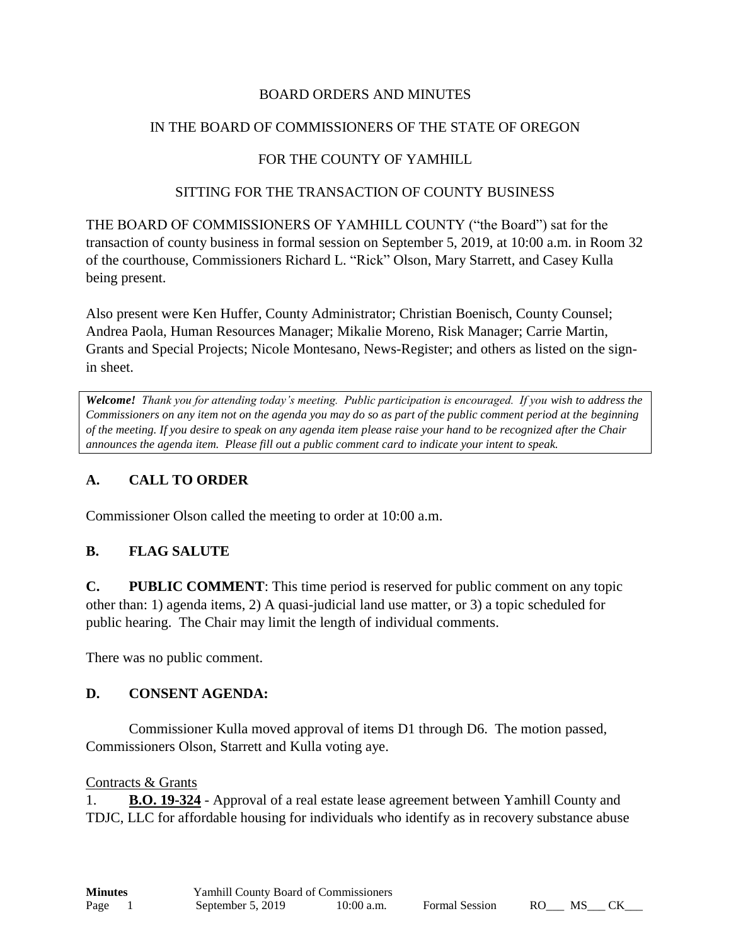### BOARD ORDERS AND MINUTES

### IN THE BOARD OF COMMISSIONERS OF THE STATE OF OREGON

## FOR THE COUNTY OF YAMHILL

#### SITTING FOR THE TRANSACTION OF COUNTY BUSINESS

THE BOARD OF COMMISSIONERS OF YAMHILL COUNTY ("the Board") sat for the transaction of county business in formal session on September 5, 2019, at 10:00 a.m. in Room 32 of the courthouse, Commissioners Richard L. "Rick" Olson, Mary Starrett, and Casey Kulla being present.

Also present were Ken Huffer, County Administrator; Christian Boenisch, County Counsel; Andrea Paola, Human Resources Manager; Mikalie Moreno, Risk Manager; Carrie Martin, Grants and Special Projects; Nicole Montesano, News-Register; and others as listed on the signin sheet.

*Welcome! Thank you for attending today's meeting. Public participation is encouraged. If you wish to address the Commissioners on any item not on the agenda you may do so as part of the public comment period at the beginning of the meeting. If you desire to speak on any agenda item please raise your hand to be recognized after the Chair announces the agenda item. Please fill out a public comment card to indicate your intent to speak.*

## **A. CALL TO ORDER**

Commissioner Olson called the meeting to order at 10:00 a.m.

## **B. FLAG SALUTE**

**C. PUBLIC COMMENT**: This time period is reserved for public comment on any topic other than: 1) agenda items, 2) A quasi-judicial land use matter, or 3) a topic scheduled for public hearing. The Chair may limit the length of individual comments.

There was no public comment.

## **D. CONSENT AGENDA:**

Commissioner Kulla moved approval of items D1 through D6. The motion passed, Commissioners Olson, Starrett and Kulla voting aye.

#### Contracts & Grants

1. **B.O. 19-324** - Approval of a real estate lease agreement between Yamhill County and TDJC, LLC for affordable housing for individuals who identify as in recovery substance abuse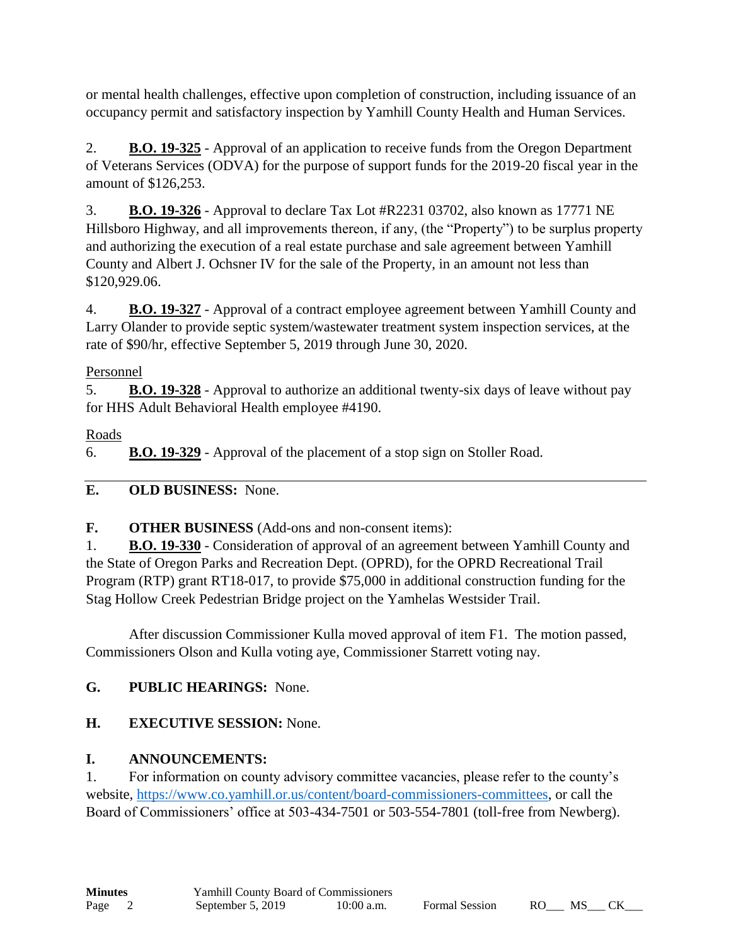or mental health challenges, effective upon completion of construction, including issuance of an occupancy permit and satisfactory inspection by Yamhill County Health and Human Services.

2. **B.O. 19-325** - Approval of an application to receive funds from the Oregon Department of Veterans Services (ODVA) for the purpose of support funds for the 2019-20 fiscal year in the amount of \$126,253.

3. **B.O. 19-326** - Approval to declare Tax Lot #R2231 03702, also known as 17771 NE Hillsboro Highway, and all improvements thereon, if any, (the "Property") to be surplus property and authorizing the execution of a real estate purchase and sale agreement between Yamhill County and Albert J. Ochsner IV for the sale of the Property, in an amount not less than \$120,929.06.

4. **B.O. 19-327** - Approval of a contract employee agreement between Yamhill County and Larry Olander to provide septic system/wastewater treatment system inspection services, at the rate of \$90/hr, effective September 5, 2019 through June 30, 2020.

## Personnel

5. **B.O. 19-328** - Approval to authorize an additional twenty-six days of leave without pay for HHS Adult Behavioral Health employee #4190.

## Roads

6. **B.O. 19-329** - Approval of the placement of a stop sign on Stoller Road.

# **E. OLD BUSINESS:** None.

**F. OTHER BUSINESS** (Add-ons and non-consent items):

1. **B.O. 19-330** - Consideration of approval of an agreement between Yamhill County and the State of Oregon Parks and Recreation Dept. (OPRD), for the OPRD Recreational Trail Program (RTP) grant RT18-017, to provide \$75,000 in additional construction funding for the Stag Hollow Creek Pedestrian Bridge project on the Yamhelas Westsider Trail.

After discussion Commissioner Kulla moved approval of item F1. The motion passed, Commissioners Olson and Kulla voting aye, Commissioner Starrett voting nay.

## **G. PUBLIC HEARINGS:** None.

# **H. EXECUTIVE SESSION:** None.

## **I. ANNOUNCEMENTS:**

1. For information on county advisory committee vacancies, please refer to the county's website, [https://www.co.yamhill.or.us/content/board-commissioners-committees,](https://www.co.yamhill.or.us/content/board-commissioners-committees) or call the Board of Commissioners' office at 503-434-7501 or 503-554-7801 (toll-free from Newberg).